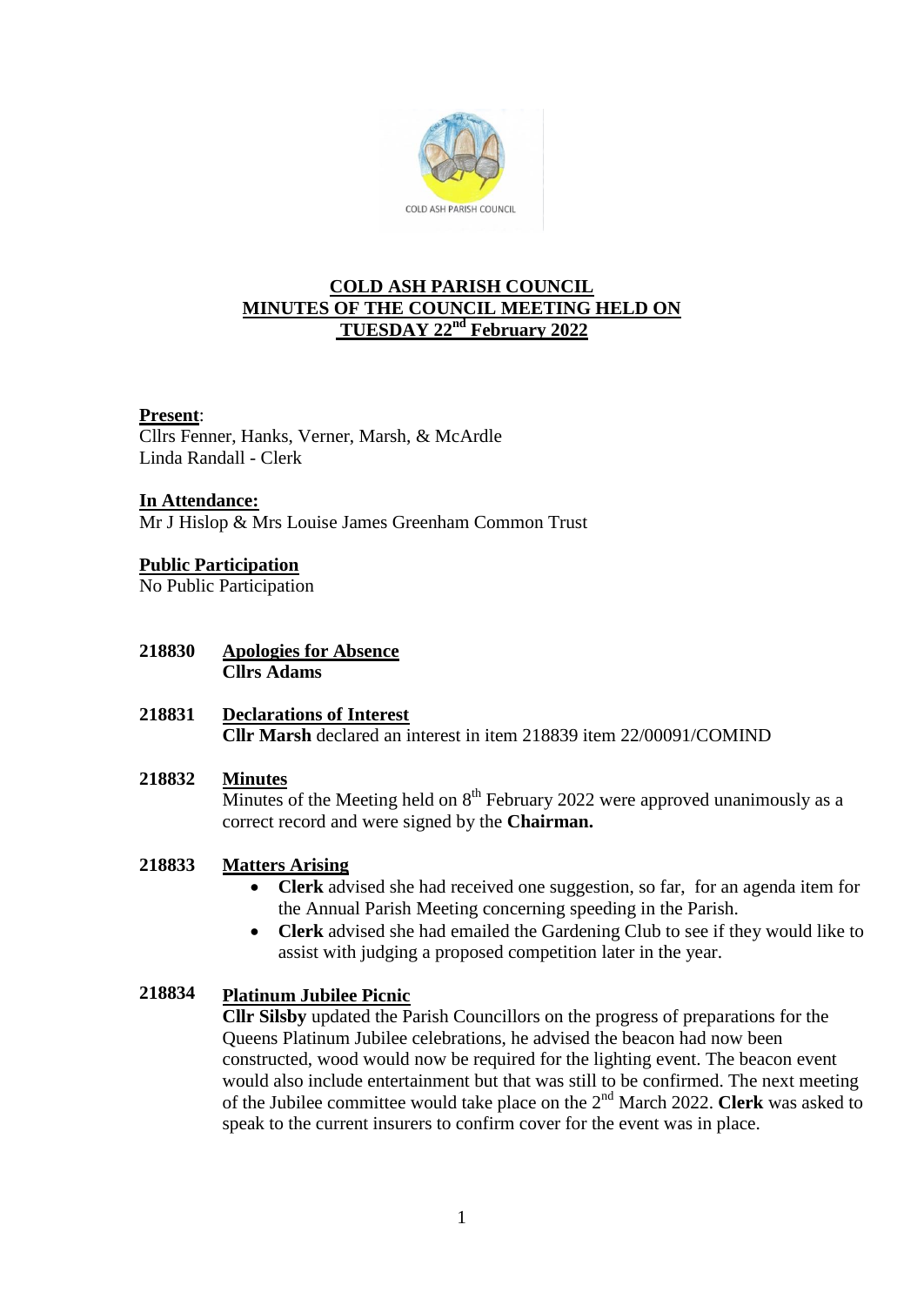

# **COLD ASH PARISH COUNCIL MINUTES OF THE COUNCIL MEETING HELD ON TUESDAY 22nd February 2022**

## **Present**:

Cllrs Fenner, Hanks, Verner, Marsh, & McArdle Linda Randall - Clerk

## **In Attendance:**

Mr J Hislop & Mrs Louise James Greenham Common Trust

# **Public Participation**

No Public Participation

- **218830 Apologies for Absence Cllrs Adams**
- **218831 Declarations of Interest Cllr Marsh** declared an interest in item 218839 item 22/00091/COMIND

### **218832 Minutes**

Minutes of the Meeting held on  $8<sup>th</sup>$  February 2022 were approved unanimously as a correct record and were signed by the **Chairman.**

## **218833 Matters Arising**

- **Clerk** advised she had received one suggestion, so far, for an agenda item for the Annual Parish Meeting concerning speeding in the Parish.
- **Clerk** advised she had emailed the Gardening Club to see if they would like to assist with judging a proposed competition later in the year.

## **218834 Platinum Jubilee Picnic**

**Cllr Silsby** updated the Parish Councillors on the progress of preparations for the Queens Platinum Jubilee celebrations, he advised the beacon had now been constructed, wood would now be required for the lighting event. The beacon event would also include entertainment but that was still to be confirmed. The next meeting of the Jubilee committee would take place on the 2nd March 2022. **Clerk** was asked to speak to the current insurers to confirm cover for the event was in place.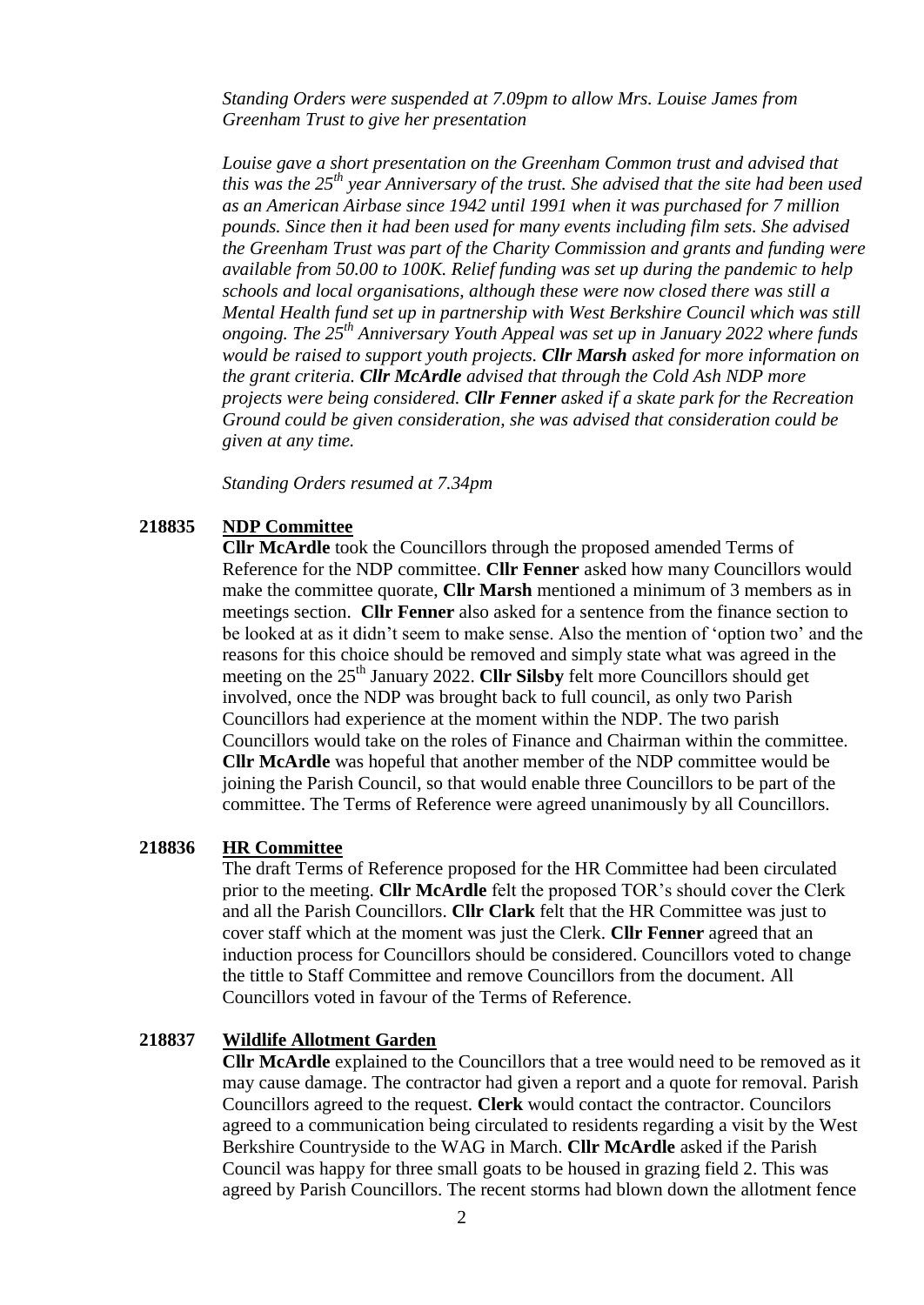*Standing Orders were suspended at 7.09pm to allow Mrs. Louise James from Greenham Trust to give her presentation*

*Louise gave a short presentation on the Greenham Common trust and advised that this was the 25th year Anniversary of the trust. She advised that the site had been used as an American Airbase since 1942 until 1991 when it was purchased for 7 million pounds. Since then it had been used for many events including film sets. She advised the Greenham Trust was part of the Charity Commission and grants and funding were available from 50.00 to 100K. Relief funding was set up during the pandemic to help schools and local organisations, although these were now closed there was still a Mental Health fund set up in partnership with West Berkshire Council which was still ongoing. The 25th Anniversary Youth Appeal was set up in January 2022 where funds would be raised to support youth projects. Cllr Marsh asked for more information on the grant criteria. Cllr McArdle advised that through the Cold Ash NDP more projects were being considered. Cllr Fenner asked if a skate park for the Recreation Ground could be given consideration, she was advised that consideration could be given at any time.*

*Standing Orders resumed at 7.34pm*

#### **218835 NDP Committee**

**Cllr McArdle** took the Councillors through the proposed amended Terms of Reference for the NDP committee. **Cllr Fenner** asked how many Councillors would make the committee quorate, **Cllr Marsh** mentioned a minimum of 3 members as in meetings section. **Cllr Fenner** also asked for a sentence from the finance section to be looked at as it didn't seem to make sense. Also the mention of 'option two' and the reasons for this choice should be removed and simply state what was agreed in the meeting on the 25<sup>th</sup> January 2022. **Cllr Silsby** felt more Councillors should get involved, once the NDP was brought back to full council, as only two Parish Councillors had experience at the moment within the NDP. The two parish Councillors would take on the roles of Finance and Chairman within the committee. **Cllr McArdle** was hopeful that another member of the NDP committee would be joining the Parish Council, so that would enable three Councillors to be part of the committee. The Terms of Reference were agreed unanimously by all Councillors.

### **218836 HR Committee**

The draft Terms of Reference proposed for the HR Committee had been circulated prior to the meeting. **Cllr McArdle** felt the proposed TOR's should cover the Clerk and all the Parish Councillors. **Cllr Clark** felt that the HR Committee was just to cover staff which at the moment was just the Clerk. **Cllr Fenner** agreed that an induction process for Councillors should be considered. Councillors voted to change the tittle to Staff Committee and remove Councillors from the document. All Councillors voted in favour of the Terms of Reference.

#### **218837 Wildlife Allotment Garden**

**Cllr McArdle** explained to the Councillors that a tree would need to be removed as it may cause damage. The contractor had given a report and a quote for removal. Parish Councillors agreed to the request. **Clerk** would contact the contractor. Councilors agreed to a communication being circulated to residents regarding a visit by the West Berkshire Countryside to the WAG in March. **Cllr McArdle** asked if the Parish Council was happy for three small goats to be housed in grazing field 2. This was agreed by Parish Councillors. The recent storms had blown down the allotment fence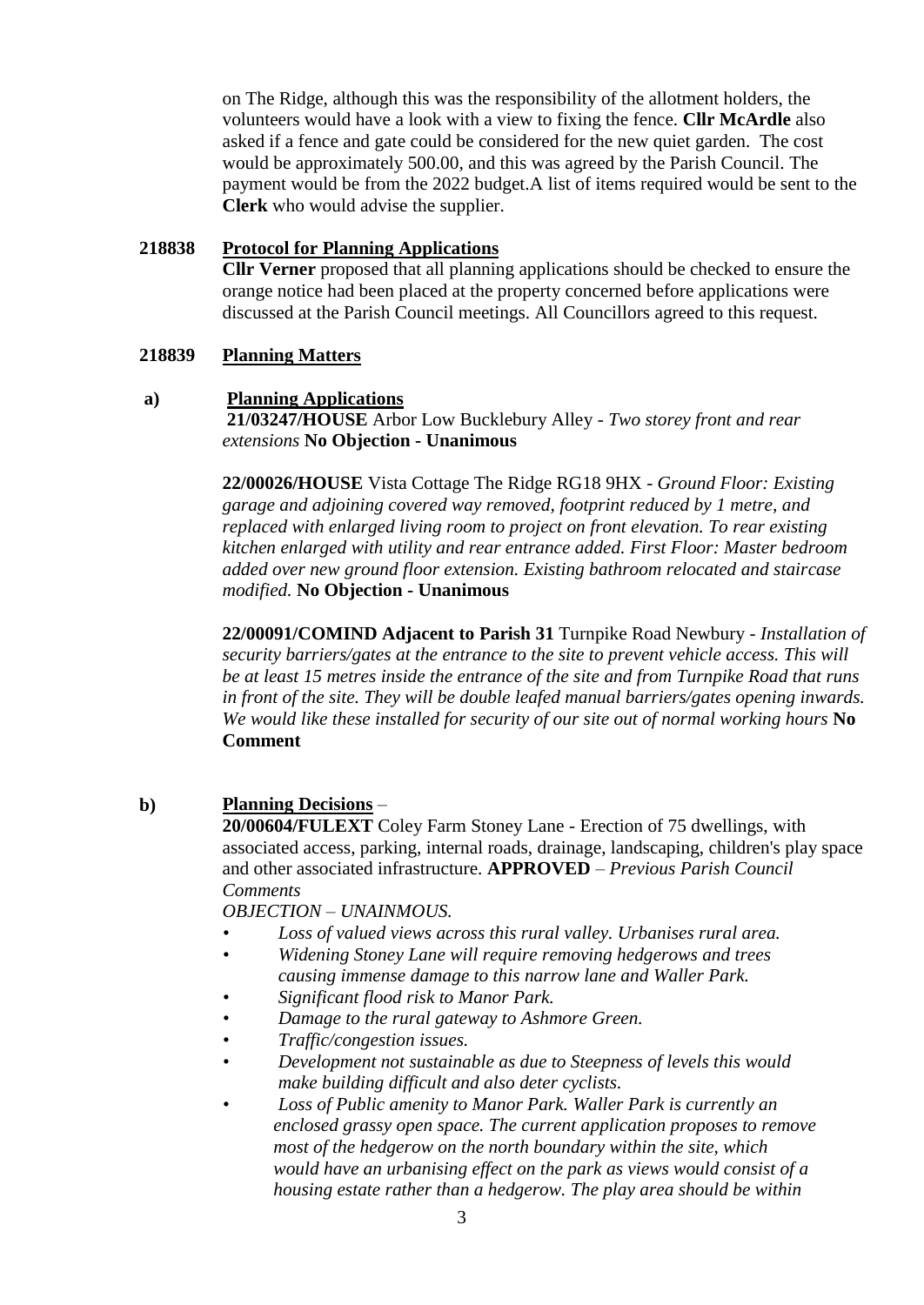on The Ridge, although this was the responsibility of the allotment holders, the volunteers would have a look with a view to fixing the fence. **Cllr McArdle** also asked if a fence and gate could be considered for the new quiet garden. The cost would be approximately 500.00, and this was agreed by the Parish Council. The payment would be from the 2022 budget.A list of items required would be sent to the **Clerk** who would advise the supplier.

## **218838 Protocol for Planning Applications**

**Cllr Verner** proposed that all planning applications should be checked to ensure the orange notice had been placed at the property concerned before applications were discussed at the Parish Council meetings. All Councillors agreed to this request.

### **218839 Planning Matters**

### **a) Planning Applications**

**21/03247/HOUSE** Arbor Low Bucklebury Alley - *Two storey front and rear extensions* **No Objection - Unanimous**

**22/00026/HOUSE** Vista Cottage The Ridge RG18 9HX - *Ground Floor: Existing garage and adjoining covered way removed, footprint reduced by 1 metre, and replaced with enlarged living room to project on front elevation. To rear existing kitchen enlarged with utility and rear entrance added. First Floor: Master bedroom added over new ground floor extension. Existing bathroom relocated and staircase modified.* **No Objection - Unanimous**

**22/00091/COMIND Adjacent to Parish 31** Turnpike Road Newbury - *Installation of security barriers/gates at the entrance to the site to prevent vehicle access. This will be at least 15 metres inside the entrance of the site and from Turnpike Road that runs in front of the site. They will be double leafed manual barriers/gates opening inwards. We would like these installed for security of our site out of normal working hours* **No Comment**

## **b) Planning Decisions** –

**20/00604/FULEXT** Coley Farm Stoney Lane - Erection of 75 dwellings, with associated access, parking, internal roads, drainage, landscaping, children's play space and other associated infrastructure. **APPROVED** – *Previous Parish Council Comments* 

*OBJECTION – UNAINMOUS.*

- *• Loss of valued views across this rural valley. Urbanises rural area.*
- *• Widening Stoney Lane will require removing hedgerows and trees causing immense damage to this narrow lane and Waller Park.*
- *• Significant flood risk to Manor Park.*
- *• Damage to the rural gateway to Ashmore Green.*
- *• Traffic/congestion issues.*
- *• Development not sustainable as due to Steepness of levels this would make building difficult and also deter cyclists.*
- *• Loss of Public amenity to Manor Park. Waller Park is currently an enclosed grassy open space. The current application proposes to remove most of the hedgerow on the north boundary within the site, which would have an urbanising effect on the park as views would consist of a housing estate rather than a hedgerow. The play area should be within*